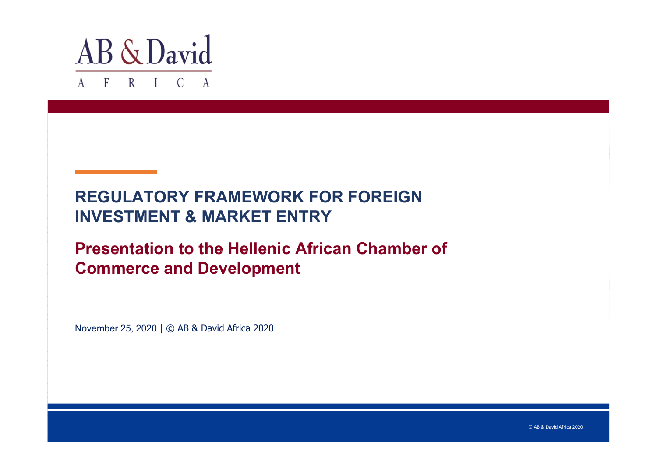

## **REGULATORY FRAMEWORK FOR FOREIGN INVESTMENT & MARKET ENTRY**

## **Presentation to the Hellenic African Chamber of Commerce and Development**

November 25, 2020 | © AB & David Africa 2020

© AB & David Africa 2020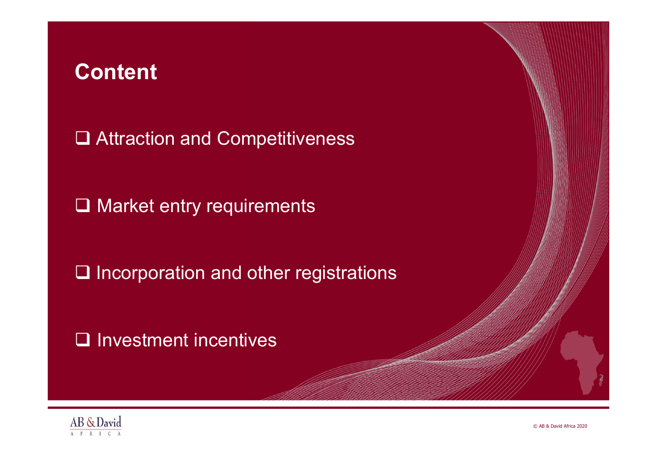# **Content**

**□ Attraction and Competitiveness** 

**□ Market entry requirements** 

 $\square$  Incorporation and other registrations

 $\Box$  Investment incentives



© AB & David Africa 2020

2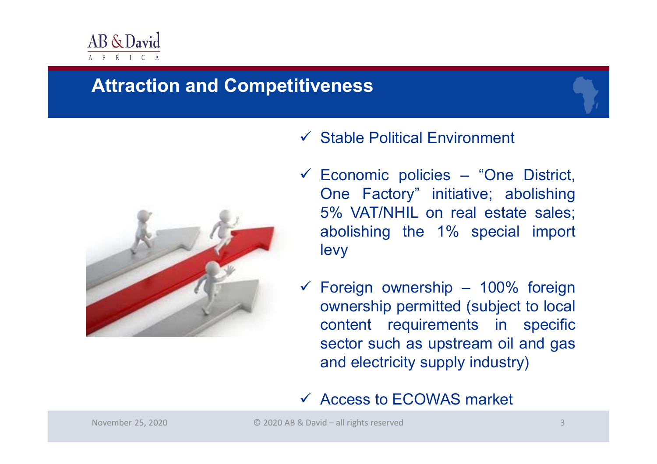

## **Attraction and Competitiveness**



#### $\checkmark$  Stable Political Environment

- $\checkmark$  Economic policies "One District, One Factory" initiative; abolishing 5% VAT/NHIL on real estate sales; abolishing the 1% special import levy
- $\checkmark$  Foreign ownership 100% foreign ownership permitted (subject to local content requirements in specific sector such as upstream oil and gas and electricity supply industry)

#### Access to ECOWAS market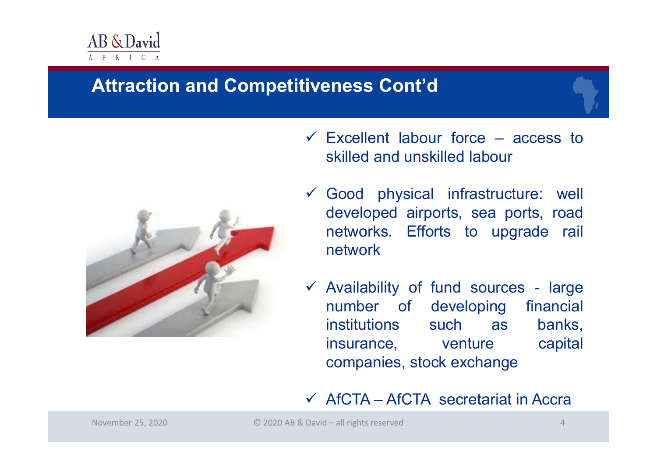

## **Attraction and Competitiveness Cont'd**



- $\checkmark$  Excellent labour force access to skilled and unskilled labour
- Good physical infrastructure: well developed airports, sea ports, road networks. Efforts to upgrade rail network
- $\checkmark$  Availability of fund sources large number of developing financial institutions such as banks, insurance, venture capital companies, stock exchange

#### $\checkmark$  AfCTA – AfCTA secretariat in Accra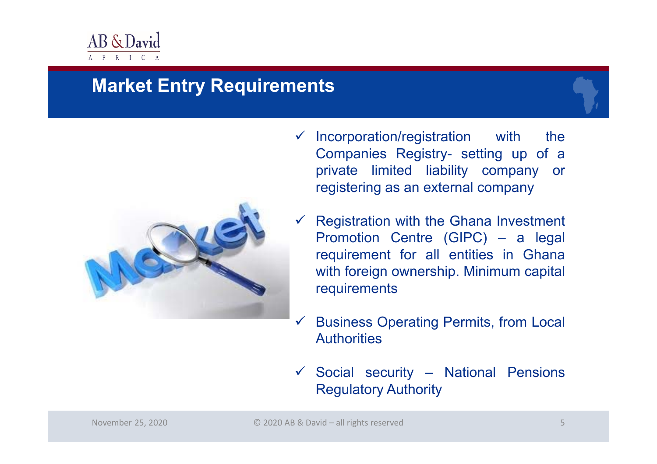

## **Market Entry Requirements**



- $\checkmark$  Incorporation/registration with the Companies Registry- setting up of <sup>a</sup> private limited liability company or registering as an external company
- $\checkmark$  Registration with the Ghana Investment Promotion Centre (GIPC) – <sup>a</sup> legal requirement for all entities in Ghana with foreign ownership. Minimum capital requirements
- $\checkmark$  Business Operating Permits, from Local **Authorities**
- $\checkmark$  Social security National Pensions Regulatory Authority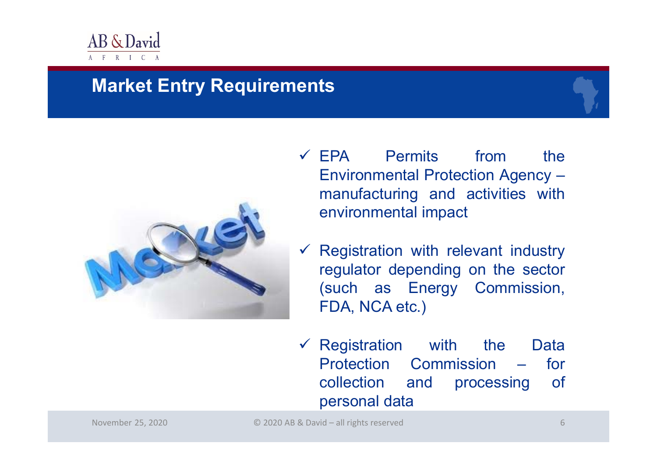

## **Market Entry Requirements**



- EPA Permits from the Environmental Protection Agency – manufacturing and activities with environmental impact
- $\checkmark$  Registration with relevant industry regulator depending on the sector (such as Energy Commission, FDA, NCA etc.)
- $\checkmark$  Registration with the Data Protection Commission – for collection and processing of personal data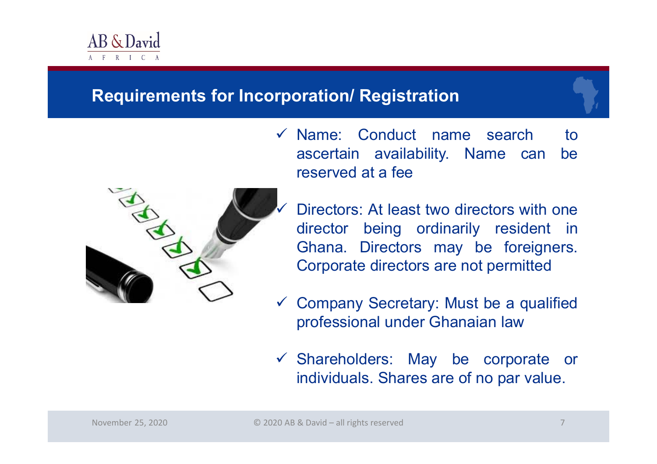

## **Requirements for Incorporation/ Registration**



- $\checkmark$  Name: Conduct name search to ascertain availability. Name can be reserved at <sup>a</sup> fee
	- Directors: At least two directors with one director being ordinarily resident in Ghana. Directors may be foreigners. Corporate directors are not permitted
- $\sqrt{2}$  Company Secretary: Must be <sup>a</sup> qualified professional under Ghanaian law
- Shareholders: May be corporate or individuals. Shares are of no par value.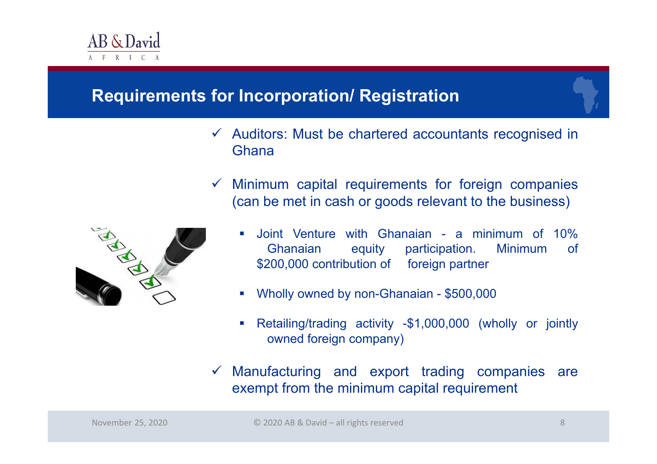

## **Requirements for Incorporation/ Registration**

- $\checkmark$  Auditors: Must be chartered accountants recognised in Ghana
- $\checkmark$  Minimum capital requirements for foreign companies (can be met in cash or goods relevant to the business)



- $\mathcal{L}_{\mathcal{A}}$  Joint Venture with Ghanaian - <sup>a</sup> minimum of 10% Ghanaian equity participation. Minimum of \$200,000 contribution of foreign partner
- $\mathcal{L}_{\mathcal{A}}$ Wholly owned by non-Ghanaian - \$500,000
- $\mathcal{C}$  Retailing/trading activity -\$1,000,000 (wholly or jointly owned foreign company)
- $\checkmark$  Manufacturing and export trading companies are exempt from the minimum capital requirement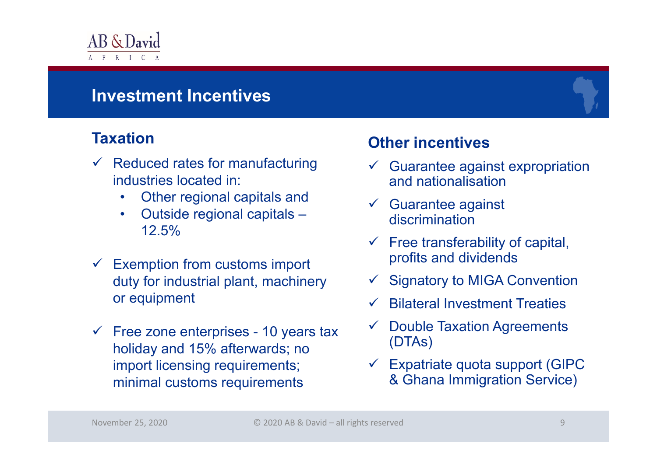

## **Investment Incentives**

#### **Taxation**

- $\checkmark$  Reduced rates for manufacturing industries located in:
	- $\bullet$ Other regional capitals and
	- $\bullet$  Outside regional capitals – 12.5%
- $\checkmark$  Exemption from customs import duty for industrial plant, machinery or equipment
- $\sqrt{2}$  Free zone enterprises - 10 years tax holiday and 15% afterwards; no import licensing requirements; minimal customs requirements

### **Other incentives**

- $\checkmark$  Guarantee against expropriation and nationalisation
- $\checkmark$  Guarantee against discrimination
- $\checkmark$  Free transferability of capital, profits and dividends
- $\checkmark$  Signatory to MIGA Convention
- $\checkmark$ Bilateral Investment Treaties
- $\checkmark$  Double Taxation Agreements (DTAs)
- $\checkmark$  Expatriate quota support (GIPC & Ghana Immigration Service)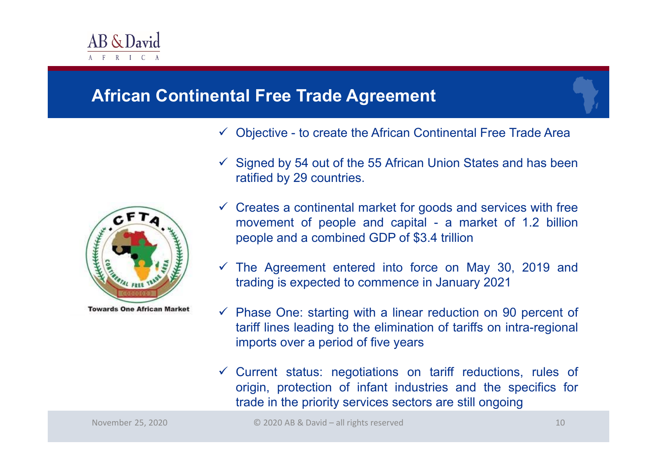

### **African Continental Free Trade Agreement**

- $\checkmark$  Objective to create the African Continental Free Trade Area
- $\checkmark$  Signed by 54 out of the 55 African Union States and has been ratified by 29 countries.



- $\checkmark$  Creates a continental market for goods and services with free movement of people and capital - <sup>a</sup> market of 1.2 billion people and <sup>a</sup> combined GDP of \$3.4 trillion
- $\checkmark$  The Agreement entered into force on May 30, 2019 and trading is expected to commence in January 2021
- $\checkmark$  Phase One: starting with a linear reduction on 90 percent of tariff lines leading to the elimination of tariffs on intra-regional imports over <sup>a</sup> period of five years
- $\checkmark$  Current status: negotiations on tariff reductions, rules of origin, protection of infant industries and the specifics for trade in the priority services sectors are still ongoing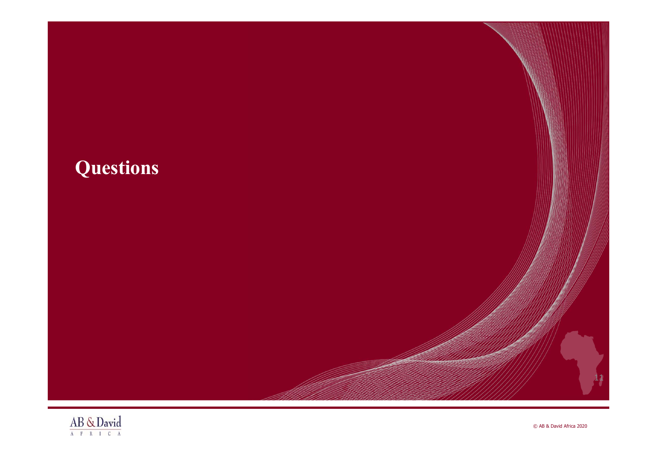# **Questions**



C AB & David Africa 2020